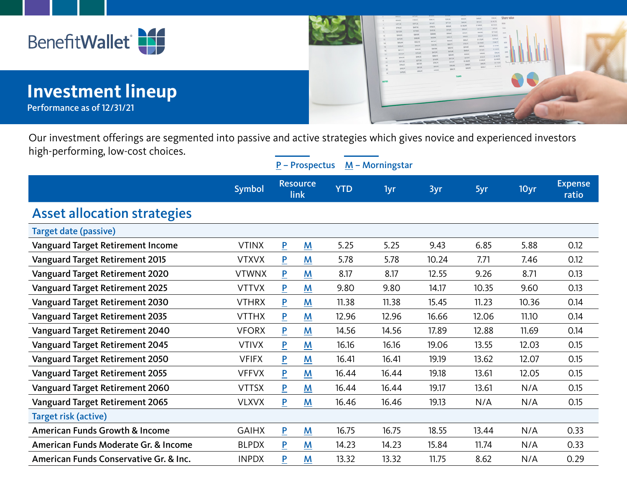



 $\underline{P}$  – Prospectus  $\underline{M}$  – Morningstar

## **Investment lineup**

Performance as of 12/31/21



 $\begin{array}{rcl} & \mbox{mean} & \\ & \mbox{mean} & \\ & \mbox{mean} & \\ & \mbox{mean} & \\ & \mbox{mean} & \\ & \mbox{mean} & \\ & \mbox{mean} & \\ & \mbox{mean} & \\ \mbox{mean} & \\ & \mbox{mean} & \\ \end{array}$ 

Our investment offerings are segmented into passive and active strategies which gives novice and experienced investors high-performing, low-cost choices.

|                                           | Symbol       | <b>Resource</b><br>link |             | <b>YTD</b> | 1yr   | 3yr   | 5yr   | 10yr  | <b>Expense</b><br>ratio |
|-------------------------------------------|--------------|-------------------------|-------------|------------|-------|-------|-------|-------|-------------------------|
| <b>Asset allocation strategies</b>        |              |                         |             |            |       |       |       |       |                         |
| Target date (passive)                     |              |                         |             |            |       |       |       |       |                         |
| <b>Vanguard Target Retirement Income</b>  | <b>VTINX</b> | $\overline{\mathsf{P}}$ | M           | 5.25       | 5.25  | 9.43  | 6.85  | 5.88  | 0.12                    |
| <b>Vanguard Target Retirement 2015</b>    | <b>VTXVX</b> | P                       | M           | 5.78       | 5.78  | 10.24 | 7.71  | 7.46  | 0.12                    |
| <b>Vanguard Target Retirement 2020</b>    | <b>VTWNX</b> | P                       | M           | 8.17       | 8.17  | 12.55 | 9.26  | 8.71  | 0.13                    |
| <b>Vanguard Target Retirement 2025</b>    | <b>VTTVX</b> | $\overline{\mathsf{P}}$ | M           | 9.80       | 9.80  | 14.17 | 10.35 | 9.60  | 0.13                    |
| <b>Vanguard Target Retirement 2030</b>    | <b>VTHRX</b> | P                       | M           | 11.38      | 11.38 | 15.45 | 11.23 | 10.36 | 0.14                    |
| <b>Vanguard Target Retirement 2035</b>    | <b>VTTHX</b> | $\overline{\mathsf{P}}$ | M           | 12.96      | 12.96 | 16.66 | 12.06 | 11.10 | 0.14                    |
| Vanguard Target Retirement 2040           | <b>VFORX</b> | P                       | M           | 14.56      | 14.56 | 17.89 | 12.88 | 11.69 | 0.14                    |
| <b>Vanguard Target Retirement 2045</b>    | <b>VTIVX</b> | $\overline{\mathsf{P}}$ | M           | 16.16      | 16.16 | 19.06 | 13.55 | 12.03 | 0.15                    |
| Vanguard Target Retirement 2050           | <b>VFIFX</b> | $\overline{P}$          | M           | 16.41      | 16.41 | 19.19 | 13.62 | 12.07 | 0.15                    |
| <b>Vanguard Target Retirement 2055</b>    | <b>VFFVX</b> | P                       | M           | 16.44      | 16.44 | 19.18 | 13.61 | 12.05 | 0.15                    |
| <b>Vanguard Target Retirement 2060</b>    | <b>VTTSX</b> | P                       | M           | 16.44      | 16.44 | 19.17 | 13.61 | N/A   | 0.15                    |
| <b>Vanguard Target Retirement 2065</b>    | <b>VLXVX</b> | P                       | M           | 16.46      | 16.46 | 19.13 | N/A   | N/A   | 0.15                    |
| Target risk (active)                      |              |                         |             |            |       |       |       |       |                         |
| <b>American Funds Growth &amp; Income</b> | <b>GAIHX</b> | $\overline{P}$          | $M_{\odot}$ | 16.75      | 16.75 | 18.55 | 13.44 | N/A   | 0.33                    |
| American Funds Moderate Gr. & Income      | <b>BLPDX</b> | P                       | M           | 14.23      | 14.23 | 15.84 | 11.74 | N/A   | 0.33                    |
| American Funds Conservative Gr. & Inc.    | <b>INPDX</b> | P                       | M           | 13.32      | 13.32 | 11.75 | 8.62  | N/A   | 0.29                    |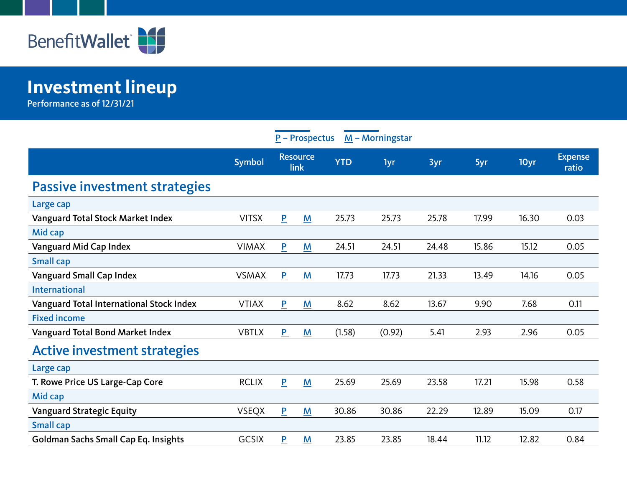

## **Investment lineup**

Performance as of 12/31/21

| $M -$ Morningstar<br>$P -$ Prospectus       |               |                         |                          |            |        |       |       |       |                         |  |
|---------------------------------------------|---------------|-------------------------|--------------------------|------------|--------|-------|-------|-------|-------------------------|--|
|                                             | <b>Symbol</b> | <b>Resource</b><br>link |                          | <b>YTD</b> | 1yr    | 3yr   | 5yr   | 10yr  | <b>Expense</b><br>ratio |  |
| <b>Passive investment strategies</b>        |               |                         |                          |            |        |       |       |       |                         |  |
| Large cap                                   |               |                         |                          |            |        |       |       |       |                         |  |
| <b>Vanguard Total Stock Market Index</b>    | <b>VITSX</b>  | P                       | M                        | 25.73      | 25.73  | 25.78 | 17.99 | 16.30 | 0.03                    |  |
| Mid cap                                     |               |                         |                          |            |        |       |       |       |                         |  |
| Vanguard Mid Cap Index                      | <b>VIMAX</b>  | $\overline{P}$          | M                        | 24.51      | 24.51  | 24.48 | 15.86 | 15.12 | 0.05                    |  |
| <b>Small cap</b>                            |               |                         |                          |            |        |       |       |       |                         |  |
| <b>Vanguard Small Cap Index</b>             | <b>VSMAX</b>  | $\overline{P}$          | M                        | 17.73      | 17.73  | 21.33 | 13.49 | 14.16 | 0.05                    |  |
| <b>International</b>                        |               |                         |                          |            |        |       |       |       |                         |  |
| Vanguard Total International Stock Index    | <b>VTIAX</b>  | $\overline{P}$          | $\underline{\mathbf{M}}$ | 8.62       | 8.62   | 13.67 | 9.90  | 7.68  | 0.11                    |  |
| <b>Fixed income</b>                         |               |                         |                          |            |        |       |       |       |                         |  |
| Vanguard Total Bond Market Index            | <b>VBTLX</b>  | P                       | $\underline{\mathsf{M}}$ | (1.58)     | (0.92) | 5.41  | 2.93  | 2.96  | 0.05                    |  |
| <b>Active investment strategies</b>         |               |                         |                          |            |        |       |       |       |                         |  |
| Large cap                                   |               |                         |                          |            |        |       |       |       |                         |  |
| T. Rowe Price US Large-Cap Core             | <b>RCLIX</b>  | P                       | M                        | 25.69      | 25.69  | 23.58 | 17.21 | 15.98 | 0.58                    |  |
| Mid cap                                     |               |                         |                          |            |        |       |       |       |                         |  |
| <b>Vanguard Strategic Equity</b>            | <b>VSEQX</b>  | $\overline{P}$          | M                        | 30.86      | 30.86  | 22.29 | 12.89 | 15.09 | 0.17                    |  |
| <b>Small cap</b>                            |               |                         |                          |            |        |       |       |       |                         |  |
| <b>Goldman Sachs Small Cap Eq. Insights</b> | <b>GCSIX</b>  | $\overline{P}$          | $M_{\odot}$              | 23.85      | 23.85  | 18.44 | 11.12 | 12.82 | 0.84                    |  |